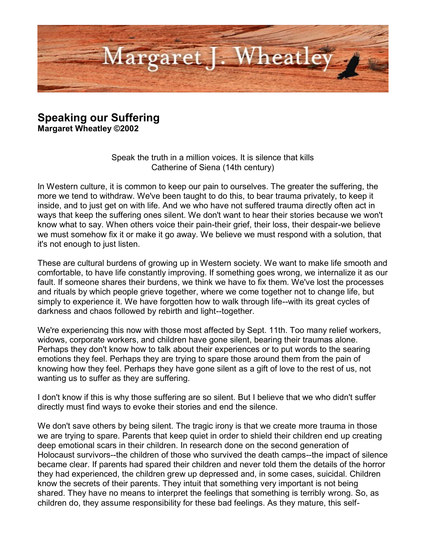

## **Speaking our Suffering**

**Margaret Wheatley ©2002**

Speak the truth in a million voices. It is silence that kills Catherine of Siena (14th century)

In Western culture, it is common to keep our pain to ourselves. The greater the suffering, the more we tend to withdraw. We've been taught to do this, to bear trauma privately, to keep it inside, and to just get on with life. And we who have not suffered trauma directly often act in ways that keep the suffering ones silent. We don't want to hear their stories because we won't know what to say. When others voice their pain-their grief, their loss, their despair-we believe we must somehow fix it or make it go away. We believe we must respond with a solution, that it's not enough to just listen.

These are cultural burdens of growing up in Western society. We want to make life smooth and comfortable, to have life constantly improving. If something goes wrong, we internalize it as our fault. If someone shares their burdens, we think we have to fix them. We've lost the processes and rituals by which people grieve together, where we come together not to change life, but simply to experience it. We have forgotten how to walk through life--with its great cycles of darkness and chaos followed by rebirth and light--together.

We're experiencing this now with those most affected by Sept. 11th. Too many relief workers, widows, corporate workers, and children have gone silent, bearing their traumas alone. Perhaps they don't know how to talk about their experiences or to put words to the searing emotions they feel. Perhaps they are trying to spare those around them from the pain of knowing how they feel. Perhaps they have gone silent as a gift of love to the rest of us, not wanting us to suffer as they are suffering.

I don't know if this is why those suffering are so silent. But I believe that we who didn't suffer directly must find ways to evoke their stories and end the silence.

We don't save others by being silent. The tragic irony is that we create more trauma in those we are trying to spare. Parents that keep quiet in order to shield their children end up creating deep emotional scars in their children. In research done on the second generation of Holocaust survivors--the children of those who survived the death camps--the impact of silence became clear. If parents had spared their children and never told them the details of the horror they had experienced, the children grew up depressed and, in some cases, suicidal. Children know the secrets of their parents. They intuit that something very important is not being shared. They have no means to interpret the feelings that something is terribly wrong. So, as children do, they assume responsibility for these bad feelings. As they mature, this self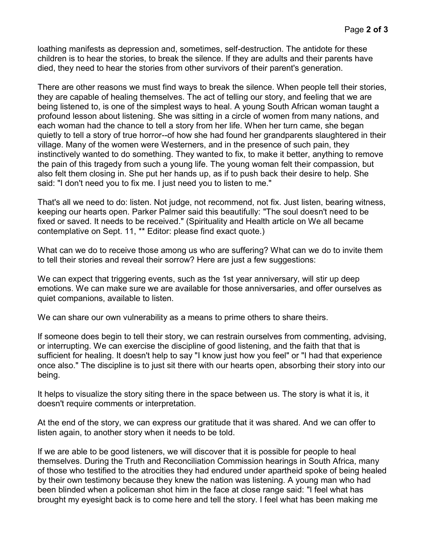loathing manifests as depression and, sometimes, self-destruction. The antidote for these children is to hear the stories, to break the silence. If they are adults and their parents have died, they need to hear the stories from other survivors of their parent's generation.

There are other reasons we must find ways to break the silence. When people tell their stories, they are capable of healing themselves. The act of telling our story, and feeling that we are being listened to, is one of the simplest ways to heal. A young South African woman taught a profound lesson about listening. She was sitting in a circle of women from many nations, and each woman had the chance to tell a story from her life. When her turn came, she began quietly to tell a story of true horror--of how she had found her grandparents slaughtered in their village. Many of the women were Westerners, and in the presence of such pain, they instinctively wanted to do something. They wanted to fix, to make it better, anything to remove the pain of this tragedy from such a young life. The young woman felt their compassion, but also felt them closing in. She put her hands up, as if to push back their desire to help. She said: "I don't need you to fix me. I just need you to listen to me."

That's all we need to do: listen. Not judge, not recommend, not fix. Just listen, bearing witness, keeping our hearts open. Parker Palmer said this beautifully: "The soul doesn't need to be fixed or saved. It needs to be received." (Spirituality and Health article on We all became contemplative on Sept. 11, \*\* Editor: please find exact quote.)

What can we do to receive those among us who are suffering? What can we do to invite them to tell their stories and reveal their sorrow? Here are just a few suggestions:

We can expect that triggering events, such as the 1st year anniversary, will stir up deep emotions. We can make sure we are available for those anniversaries, and offer ourselves as quiet companions, available to listen.

We can share our own vulnerability as a means to prime others to share theirs.

If someone does begin to tell their story, we can restrain ourselves from commenting, advising, or interrupting. We can exercise the discipline of good listening, and the faith that that is sufficient for healing. It doesn't help to say "I know just how you feel" or "I had that experience once also." The discipline is to just sit there with our hearts open, absorbing their story into our being.

It helps to visualize the story siting there in the space between us. The story is what it is, it doesn't require comments or interpretation.

At the end of the story, we can express our gratitude that it was shared. And we can offer to listen again, to another story when it needs to be told.

If we are able to be good listeners, we will discover that it is possible for people to heal themselves. During the Truth and Reconciliation Commission hearings in South Africa, many of those who testified to the atrocities they had endured under apartheid spoke of being healed by their own testimony because they knew the nation was listening. A young man who had been blinded when a policeman shot him in the face at close range said: "I feel what has brought my eyesight back is to come here and tell the story. I feel what has been making me